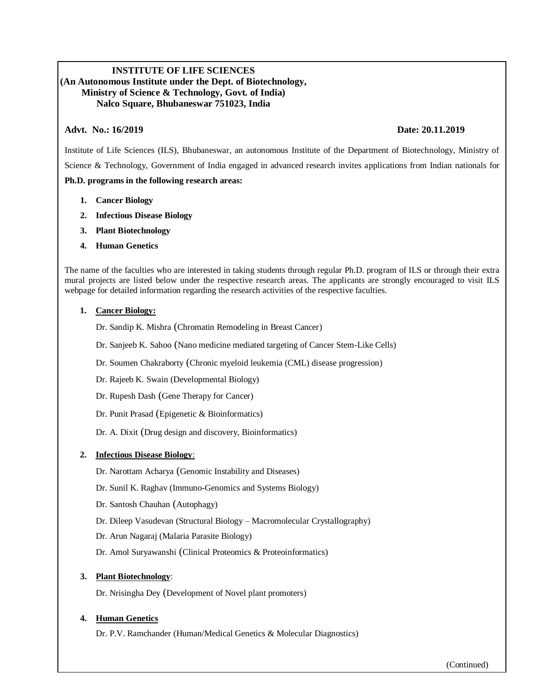# **INSTITUTE OF LIFE SCIENCES (An Autonomous Institute under the Dept. of Biotechnology, Ministry of Science & Technology, Govt. of India) Nalco Square, Bhubaneswar 751023, India**

## **Advt. No.: 16/2019 Date: 20.11.2019**

Institute of Life Sciences (ILS), Bhubaneswar, an autonomous Institute of the Department of Biotechnology, Ministry of Science & Technology, Government of India engaged in advanced research invites applications from Indian nationals for **Ph.D. programs in the following research areas:**

- **1. Cancer Biology**
- **2. Infectious Disease Biology**
- **3. Plant Biotechnology**
- **4. Human Genetics**

The name of the faculties who are interested in taking students through regular Ph.D. program of ILS or through their extra mural projects are listed below under the respective research areas. The applicants are strongly encouraged to visit ILS webpage for detailed information regarding the research activities of the respective faculties.

#### **1. Cancer Biology:**

Dr. Sandip K. Mishra (Chromatin Remodeling in Breast Cancer)

- Dr. Sanjeeb K. Sahoo (Nano medicine mediated targeting of Cancer Stem-Like Cells)
- Dr. Soumen Chakraborty (Chronic myeloid leukemia (CML) disease progression)
- Dr. Rajeeb K. Swain (Developmental Biology)
- Dr. Rupesh Dash (Gene Therapy for Cancer)
- Dr. Punit Prasad (Epigenetic & Bioinformatics)
- Dr. A. Dixit (Drug design and discovery, Bioinformatics)

## **2. Infectious Disease Biology**:

- Dr. Narottam Acharya (Genomic Instability and Diseases)
- Dr. Sunil K. Raghav (Immuno-Genomics and Systems Biology)
- Dr. Santosh Chauhan (Autophagy)
- Dr. Dileep Vasudevan (Structural Biology Macromolecular Crystallography)
- Dr. Arun Nagaraj (Malaria Parasite Biology)
- Dr. Amol Suryawanshi (Clinical Proteomics & Proteoinformatics)

## **3. Plant Biotechnology**:

Dr. Nrisingha Dey (Development of Novel plant promoters)

## **4. Human Genetics**

Dr. P.V. Ramchander (Human/Medical Genetics & Molecular Diagnostics)